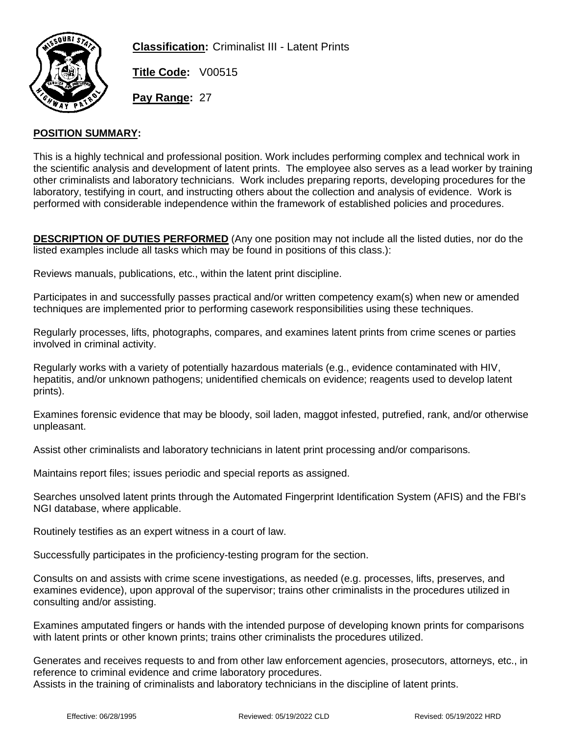

**Classification:** Criminalist III - Latent Prints

**Title Code:** V00515

**Pay Range:** 27

### **POSITION SUMMARY:**

This is a highly technical and professional position. Work includes performing complex and technical work in the scientific analysis and development of latent prints. The employee also serves as a lead worker by training other criminalists and laboratory technicians. Work includes preparing reports, developing procedures for the laboratory, testifying in court, and instructing others about the collection and analysis of evidence. Work is performed with considerable independence within the framework of established policies and procedures.

**DESCRIPTION OF DUTIES PERFORMED** (Any one position may not include all the listed duties, nor do the listed examples include all tasks which may be found in positions of this class.):

Reviews manuals, publications, etc., within the latent print discipline.

Participates in and successfully passes practical and/or written competency exam(s) when new or amended techniques are implemented prior to performing casework responsibilities using these techniques.

Regularly processes, lifts, photographs, compares, and examines latent prints from crime scenes or parties involved in criminal activity.

Regularly works with a variety of potentially hazardous materials (e.g., evidence contaminated with HIV, hepatitis, and/or unknown pathogens; unidentified chemicals on evidence; reagents used to develop latent prints).

Examines forensic evidence that may be bloody, soil laden, maggot infested, putrefied, rank, and/or otherwise unpleasant.

Assist other criminalists and laboratory technicians in latent print processing and/or comparisons.

Maintains report files; issues periodic and special reports as assigned.

Searches unsolved latent prints through the Automated Fingerprint Identification System (AFIS) and the FBI's NGI database, where applicable.

Routinely testifies as an expert witness in a court of law.

Successfully participates in the proficiency-testing program for the section.

Consults on and assists with crime scene investigations, as needed (e.g. processes, lifts, preserves, and examines evidence), upon approval of the supervisor; trains other criminalists in the procedures utilized in consulting and/or assisting.

Examines amputated fingers or hands with the intended purpose of developing known prints for comparisons with latent prints or other known prints; trains other criminalists the procedures utilized.

Generates and receives requests to and from other law enforcement agencies, prosecutors, attorneys, etc., in reference to criminal evidence and crime laboratory procedures. Assists in the training of criminalists and laboratory technicians in the discipline of latent prints.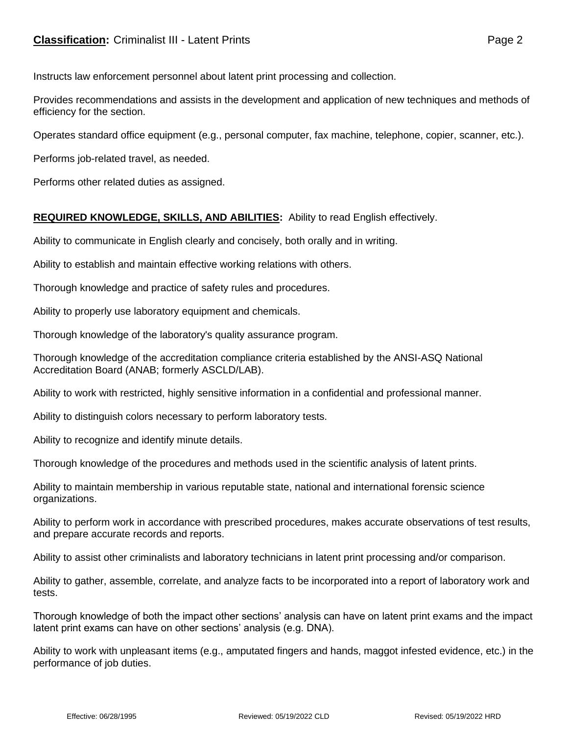# **Classification:** Criminalist III - Latent Prints **Classification:** Page 2

Instructs law enforcement personnel about latent print processing and collection.

Provides recommendations and assists in the development and application of new techniques and methods of efficiency for the section.

Operates standard office equipment (e.g., personal computer, fax machine, telephone, copier, scanner, etc.).

Performs job-related travel, as needed.

Performs other related duties as assigned.

# **REQUIRED KNOWLEDGE, SKILLS, AND ABILITIES:** Ability to read English effectively.

Ability to communicate in English clearly and concisely, both orally and in writing.

Ability to establish and maintain effective working relations with others.

Thorough knowledge and practice of safety rules and procedures.

Ability to properly use laboratory equipment and chemicals.

Thorough knowledge of the laboratory's quality assurance program.

Thorough knowledge of the accreditation compliance criteria established by the ANSI-ASQ National Accreditation Board (ANAB; formerly ASCLD/LAB).

Ability to work with restricted, highly sensitive information in a confidential and professional manner.

Ability to distinguish colors necessary to perform laboratory tests.

Ability to recognize and identify minute details.

Thorough knowledge of the procedures and methods used in the scientific analysis of latent prints.

Ability to maintain membership in various reputable state, national and international forensic science organizations.

Ability to perform work in accordance with prescribed procedures, makes accurate observations of test results, and prepare accurate records and reports.

Ability to assist other criminalists and laboratory technicians in latent print processing and/or comparison.

Ability to gather, assemble, correlate, and analyze facts to be incorporated into a report of laboratory work and tests.

Thorough knowledge of both the impact other sections' analysis can have on latent print exams and the impact latent print exams can have on other sections' analysis (e.g. DNA).

Ability to work with unpleasant items (e.g., amputated fingers and hands, maggot infested evidence, etc.) in the performance of job duties.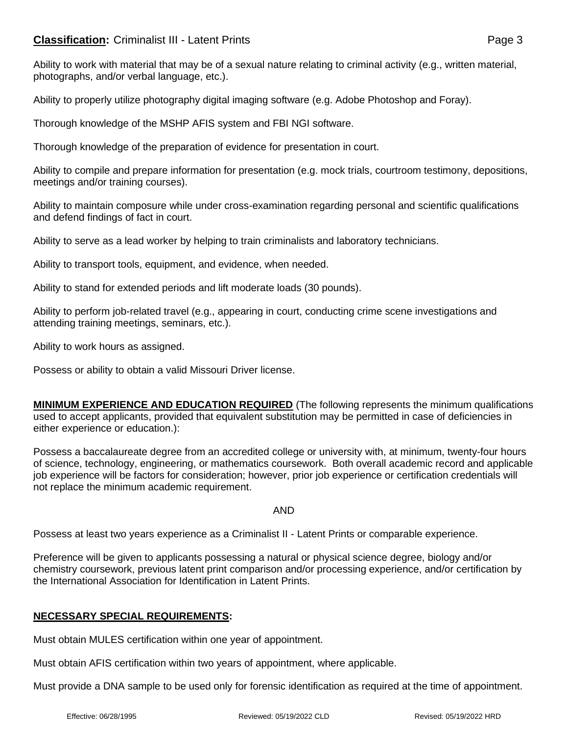# **Classification:** Criminalist III - Latent Prints **Page 3** Page 3

Ability to work with material that may be of a sexual nature relating to criminal activity (e.g., written material, photographs, and/or verbal language, etc.).

Ability to properly utilize photography digital imaging software (e.g. Adobe Photoshop and Foray).

Thorough knowledge of the MSHP AFIS system and FBI NGI software.

Thorough knowledge of the preparation of evidence for presentation in court.

Ability to compile and prepare information for presentation (e.g. mock trials, courtroom testimony, depositions, meetings and/or training courses).

Ability to maintain composure while under cross-examination regarding personal and scientific qualifications and defend findings of fact in court.

Ability to serve as a lead worker by helping to train criminalists and laboratory technicians.

Ability to transport tools, equipment, and evidence, when needed.

Ability to stand for extended periods and lift moderate loads (30 pounds).

Ability to perform job-related travel (e.g., appearing in court, conducting crime scene investigations and attending training meetings, seminars, etc.).

Ability to work hours as assigned.

Possess or ability to obtain a valid Missouri Driver license.

**MINIMUM EXPERIENCE AND EDUCATION REQUIRED** (The following represents the minimum qualifications used to accept applicants, provided that equivalent substitution may be permitted in case of deficiencies in either experience or education.):

Possess a baccalaureate degree from an accredited college or university with, at minimum, twenty-four hours of science, technology, engineering, or mathematics coursework. Both overall academic record and applicable job experience will be factors for consideration; however, prior job experience or certification credentials will not replace the minimum academic requirement.

AND

Possess at least two years experience as a Criminalist II - Latent Prints or comparable experience.

Preference will be given to applicants possessing a natural or physical science degree, biology and/or chemistry coursework, previous latent print comparison and/or processing experience, and/or certification by the International Association for Identification in Latent Prints.

### **NECESSARY SPECIAL REQUIREMENTS:**

Must obtain MULES certification within one year of appointment.

Must obtain AFIS certification within two years of appointment, where applicable.

Must provide a DNA sample to be used only for forensic identification as required at the time of appointment.